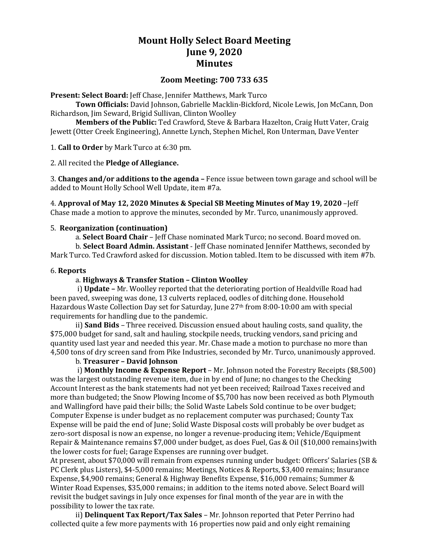# **Mount Holly Select Board Meeting June 9, 2020 Minutes**

## **Zoom Meeting: 700 733 635**

**Present: Select Board:** Jeff Chase, Jennifer Matthews, Mark Turco

**Town Officials:** David Johnson, Gabrielle Macklin-Bickford, Nicole Lewis, Jon McCann, Don Richardson, Jim Seward, Brigid Sullivan, Clinton Woolley

**Members of the Public:** Ted Crawford, Steve & Barbara Hazelton, Craig Hutt Vater, Craig Jewett (Otter Creek Engineering), Annette Lynch, Stephen Michel, Ron Unterman, Dave Venter

1. **Call to Order** by Mark Turco at 6:30 pm.

2. All recited the **Pledge of Allegiance.**

3. **Changes and/or additions to the agenda –** Fence issue between town garage and school will be added to Mount Holly School Well Update, item #7a.

4. **Approval of May 12, 2020 Minutes & Special SB Meeting Minutes of May 19, 2020** –Jeff Chase made a motion to approve the minutes, seconded by Mr. Turco, unanimously approved.

#### 5. **Reorganization (continuation)**

a. **Select Board Chair** – Jeff Chase nominated Mark Turco; no second. Board moved on.

b. **Select Board Admin. Assistant** - Jeff Chase nominated Jennifer Matthews, seconded by Mark Turco. Ted Crawford asked for discussion. Motion tabled. Item to be discussed with item #7b.

### 6. **Reports**

#### a. **Highways & Transfer Station – Clinton Woolley**

i) **Update –** Mr. Woolley reported that the deteriorating portion of Healdville Road had been paved, sweeping was done, 13 culverts replaced, oodles of ditching done. Household Hazardous Waste Collection Day set for Saturday, June 27th from 8:00-10:00 am with special requirements for handling due to the pandemic.

ii) **Sand Bids** – Three received. Discussion ensued about hauling costs, sand quality, the \$75,000 budget for sand, salt and hauling, stockpile needs, trucking vendors, sand pricing and quantity used last year and needed this year. Mr. Chase made a motion to purchase no more than 4,500 tons of dry screen sand from Pike Industries, seconded by Mr. Turco, unanimously approved.

#### b. **Treasurer – David Johnson**

i) **Monthly Income & Expense Report** – Mr. Johnson noted the Forestry Receipts (\$8,500) was the largest outstanding revenue item, due in by end of June; no changes to the Checking Account Interest as the bank statements had not yet been received; Railroad Taxes received and more than budgeted; the Snow Plowing Income of \$5,700 has now been received as both Plymouth and Wallingford have paid their bills; the Solid Waste Labels Sold continue to be over budget; Computer Expense is under budget as no replacement computer was purchased; County Tax Expense will be paid the end of June; Solid Waste Disposal costs will probably be over budget as zero-sort disposal is now an expense, no longer a revenue-producing item; Vehicle/Equipment Repair & Maintenance remains \$7,000 under budget, as does Fuel, Gas & Oil (\$10,000 remains)with the lower costs for fuel; Garage Expenses are running over budget.

At present, about \$70,000 will remain from expenses running under budget: Officers' Salaries (SB & PC Clerk plus Listers), \$4-5,000 remains; Meetings, Notices & Reports, \$3,400 remains; Insurance Expense, \$4,900 remains; General & Highway Benefits Expense, \$16,000 remains; Summer & Winter Road Expenses, \$35,000 remains; in addition to the items noted above. Select Board will revisit the budget savings in July once expenses for final month of the year are in with the possibility to lower the tax rate.

ii) **Delinquent Tax Report/Tax Sales** – Mr. Johnson reported that Peter Perrino had collected quite a few more payments with 16 properties now paid and only eight remaining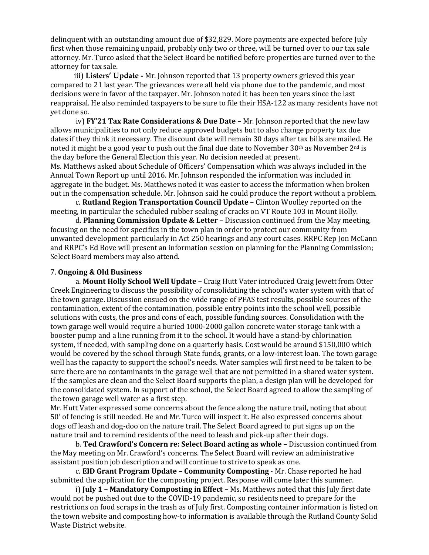delinquent with an outstanding amount due of \$32,829. More payments are expected before July first when those remaining unpaid, probably only two or three, will be turned over to our tax sale attorney. Mr. Turco asked that the Select Board be notified before properties are turned over to the attorney for tax sale.

 iii) **Listers' Update -** Mr. Johnson reported that 13 property owners grieved this year compared to 21 last year. The grievances were all held via phone due to the pandemic, and most decisions were in favor of the taxpayer. Mr. Johnson noted it has been ten years since the last reappraisal. He also reminded taxpayers to be sure to file their HSA-122 as many residents have not yet done so.

 iv) **FY'21 Tax Rate Considerations & Due Date** – Mr. Johnson reported that the new law allows municipalities to not only reduce approved budgets but to also change property tax due dates if they think it necessary. The discount date will remain 30 days after tax bills are mailed. He noted it might be a good year to push out the final due date to November  $30<sup>th</sup>$  as November  $2<sup>nd</sup>$  is the day before the General Election this year. No decision needed at present.

Ms. Matthews asked about Schedule of Officers' Compensation which was always included in the Annual Town Report up until 2016. Mr. Johnson responded the information was included in aggregate in the budget. Ms. Matthews noted it was easier to access the information when broken out in the compensation schedule. Mr. Johnson said he could produce the report without a problem.

c. **Rutland Region Transportation Council Update** – Clinton Woolley reported on the meeting, in particular the scheduled rubber sealing of cracks on VT Route 103 in Mount Holly.

d. **Planning Commission Update & Letter** – Discussion continued from the May meeting, focusing on the need for specifics in the town plan in order to protect our community from unwanted development particularly in Act 250 hearings and any court cases. RRPC Rep Jon McCann and RRPC's Ed Bove will present an information session on planning for the Planning Commission; Select Board members may also attend.

## 7. **Ongoing & Old Business**

a. **Mount Holly School Well Update –** Craig Hutt Vater introduced Craig Jewett from Otter Creek Engineering to discuss the possibility of consolidating the school's water system with that of the town garage. Discussion ensued on the wide range of PFAS test results, possible sources of the contamination, extent of the contamination, possible entry points into the school well, possible solutions with costs, the pros and cons of each, possible funding sources. Consolidation with the town garage well would require a buried 1000-2000 gallon concrete water storage tank with a booster pump and a line running from it to the school. It would have a stand-by chlorination system, if needed, with sampling done on a quarterly basis. Cost would be around \$150,000 which would be covered by the school through State funds, grants, or a low-interest loan. The town garage well has the capacity to support the school's needs. Water samples will first need to be taken to be sure there are no contaminants in the garage well that are not permitted in a shared water system. If the samples are clean and the Select Board supports the plan, a design plan will be developed for the consolidated system. In support of the school, the Select Board agreed to allow the sampling of the town garage well water as a first step.

Mr. Hutt Vater expressed some concerns about the fence along the nature trail, noting that about 50' of fencing is still needed. He and Mr. Turco will inspect it. He also expressed concerns about dogs off leash and dog-doo on the nature trail. The Select Board agreed to put signs up on the nature trail and to remind residents of the need to leash and pick-up after their dogs.

b. **Ted Crawford's Concern re: Select Board acting as whole –** Discussion continued from the May meeting on Mr. Crawford's concerns. The Select Board will review an administrative assistant position job description and will continue to strive to speak as one.

c. **EID Grant Program Update – Community Composting** - Mr. Chase reported he had submitted the application for the composting project. Response will come later this summer.

i) **July 1 – Mandatory Composting in Effect –** Ms. Matthews noted that this July first date would not be pushed out due to the COVID-19 pandemic, so residents need to prepare for the restrictions on food scraps in the trash as of July first. Composting container information is listed on the town website and composting how-to information is available through the Rutland County Solid Waste District website.